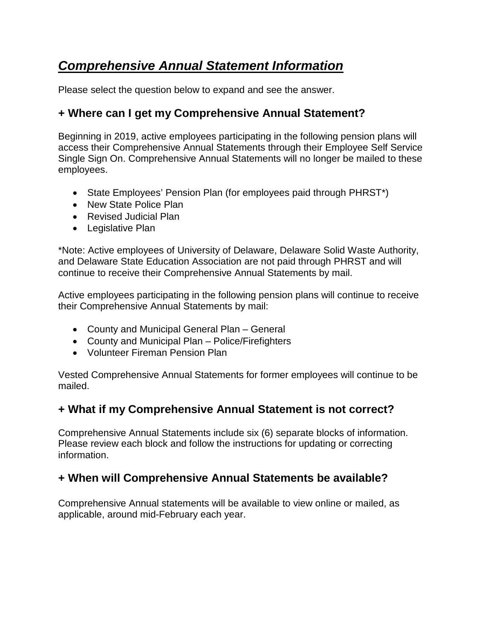# *Comprehensive Annual Statement Information*

Please select the question below to expand and see the answer.

## **+ Where can I get my Comprehensive Annual Statement?**

Beginning in 2019, active employees participating in the following pension plans will access their Comprehensive Annual Statements through their Employee Self Service Single Sign On. Comprehensive Annual Statements will no longer be mailed to these employees.

- State Employees' Pension Plan (for employees paid through PHRST\*)
- New State Police Plan
- Revised Judicial Plan
- Legislative Plan

\*Note: Active employees of University of Delaware, Delaware Solid Waste Authority, and Delaware State Education Association are not paid through PHRST and will continue to receive their Comprehensive Annual Statements by mail.

Active employees participating in the following pension plans will continue to receive their Comprehensive Annual Statements by mail:

- County and Municipal General Plan General
- County and Municipal Plan Police/Firefighters
- Volunteer Fireman Pension Plan

Vested Comprehensive Annual Statements for former employees will continue to be mailed.

# **+ What if my Comprehensive Annual Statement is not correct?**

Comprehensive Annual Statements include six (6) separate blocks of information. Please review each block and follow the instructions for updating or correcting information.

#### **+ When will Comprehensive Annual Statements be available?**

Comprehensive Annual statements will be available to view online or mailed, as applicable, around mid-February each year.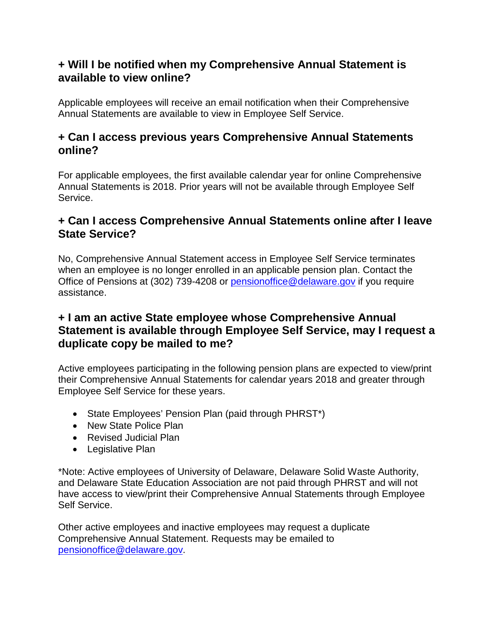#### **+ Will I be notified when my Comprehensive Annual Statement is available to view online?**

Applicable employees will receive an email notification when their Comprehensive Annual Statements are available to view in Employee Self Service.

### **+ Can I access previous years Comprehensive Annual Statements online?**

For applicable employees, the first available calendar year for online Comprehensive Annual Statements is 2018. Prior years will not be available through Employee Self Service.

#### **+ Can I access Comprehensive Annual Statements online after I leave State Service?**

No, Comprehensive Annual Statement access in Employee Self Service terminates when an employee is no longer enrolled in an applicable pension plan. Contact the Office of Pensions at (302) 739-4208 or [pensionoffice@delaware.gov](mailto:pensionoffice@delaware.gov) if you require assistance.

### **+ I am an active State employee whose Comprehensive Annual Statement is available through Employee Self Service, may I request a duplicate copy be mailed to me?**

Active employees participating in the following pension plans are expected to view/print their Comprehensive Annual Statements for calendar years 2018 and greater through Employee Self Service for these years.

- State Employees' Pension Plan (paid through PHRST\*)
- New State Police Plan
- Revised Judicial Plan
- Legislative Plan

\*Note: Active employees of University of Delaware, Delaware Solid Waste Authority, and Delaware State Education Association are not paid through PHRST and will not have access to view/print their Comprehensive Annual Statements through Employee Self Service.

Other active employees and inactive employees may request a duplicate Comprehensive Annual Statement. Requests may be emailed to [pensionoffice@delaware.gov.](mailto:pensionoffice@delaware.gov)